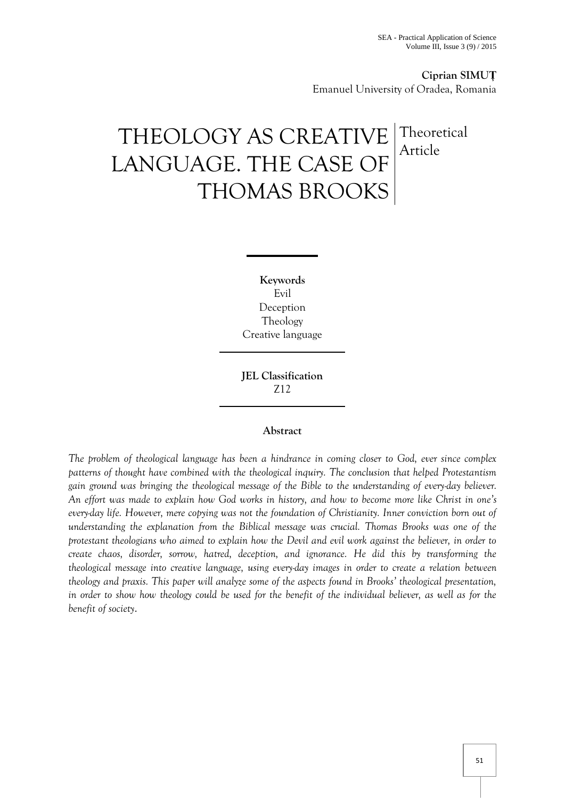# **Ciprian SIMUȚ** Emanuel University of Oradea, Romania

# THEOLOGY AS CREATIVE LANGUAGE. THE CASE OF THOMAS BROOKS **Theoretical** Article

**Keywords** Evil Deception Theology Creative language

**JEL Classification**  Z12

#### **Abstract**

*The problem of theological language has been a hindrance in coming closer to God, ever since complex patterns of thought have combined with the theological inquiry. The conclusion that helped Protestantism gain ground was bringing the theological message of the Bible to the understanding of every-day believer. An effort was made to explain how God works in history, and how to become more like Christ in one's every-day life. However, mere copying was not the foundation of Christianity. Inner conviction born out of understanding the explanation from the Biblical message was crucial. Thomas Brooks was one of the protestant theologians who aimed to explain how the Devil and evil work against the believer, in order to create chaos, disorder, sorrow, hatred, deception, and ignorance. He did this by transforming the theological message into creative language, using every-day images in order to create a relation between theology and praxis. This paper will analyze some of the aspects found in Brooks' theological presentation, in order to show how theology could be used for the benefit of the individual believer, as well as for the benefit of society*.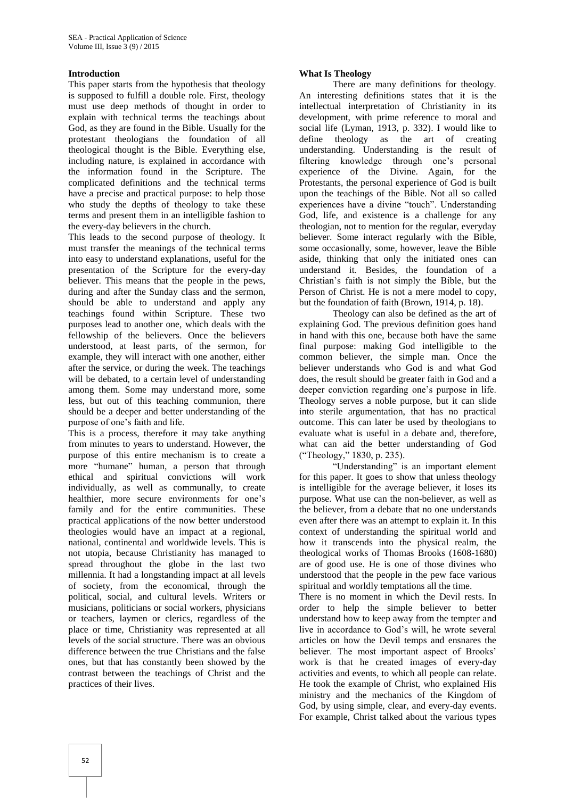#### **Introduction**

This paper starts from the hypothesis that theology is supposed to fulfill a double role. First, theology must use deep methods of thought in order to explain with technical terms the teachings about God, as they are found in the Bible. Usually for the protestant theologians the foundation of all theological thought is the Bible. Everything else, including nature, is explained in accordance with the information found in the Scripture. The complicated definitions and the technical terms have a precise and practical purpose: to help those who study the depths of theology to take these terms and present them in an intelligible fashion to the every-day believers in the church.

This leads to the second purpose of theology. It must transfer the meanings of the technical terms into easy to understand explanations, useful for the presentation of the Scripture for the every-day believer. This means that the people in the pews, during and after the Sunday class and the sermon, should be able to understand and apply any teachings found within Scripture. These two purposes lead to another one, which deals with the fellowship of the believers. Once the believers understood, at least parts, of the sermon, for example, they will interact with one another, either after the service, or during the week. The teachings will be debated, to a certain level of understanding among them. Some may understand more, some less, but out of this teaching communion, there should be a deeper and better understanding of the purpose of one's faith and life.

This is a process, therefore it may take anything from minutes to years to understand. However, the purpose of this entire mechanism is to create a more "humane" human, a person that through ethical and spiritual convictions will work individually, as well as communally, to create healthier, more secure environments for one's family and for the entire communities. These practical applications of the now better understood theologies would have an impact at a regional, national, continental and worldwide levels. This is not utopia, because Christianity has managed to spread throughout the globe in the last two millennia. It had a longstanding impact at all levels of society, from the economical, through the political, social, and cultural levels. Writers or musicians, politicians or social workers, physicians or teachers, laymen or clerics, regardless of the place or time, Christianity was represented at all levels of the social structure. There was an obvious difference between the true Christians and the false ones, but that has constantly been showed by the contrast between the teachings of Christ and the practices of their lives.

# **What Is Theology**

There are many definitions for theology. An interesting definitions states that it is the intellectual interpretation of Christianity in its development, with prime reference to moral and social life (Lyman, 1913, p. 332). I would like to define theology as the art of creating understanding. Understanding is the result of filtering knowledge through one's personal experience of the Divine. Again, for the Protestants, the personal experience of God is built upon the teachings of the Bible. Not all so called experiences have a divine "touch". Understanding God, life, and existence is a challenge for any theologian, not to mention for the regular, everyday believer. Some interact regularly with the Bible, some occasionally, some, however, leave the Bible aside, thinking that only the initiated ones can understand it. Besides, the foundation of a Christian's faith is not simply the Bible, but the Person of Christ. He is not a mere model to copy, but the foundation of faith (Brown, 1914, p. 18).

Theology can also be defined as the art of explaining God. The previous definition goes hand in hand with this one, because both have the same final purpose: making God intelligible to the common believer, the simple man. Once the believer understands who God is and what God does, the result should be greater faith in God and a deeper conviction regarding one's purpose in life. Theology serves a noble purpose, but it can slide into sterile argumentation, that has no practical outcome. This can later be used by theologians to evaluate what is useful in a debate and, therefore, what can aid the better understanding of God ("Theology," 1830, p. 235).

"Understanding" is an important element for this paper. It goes to show that unless theology is intelligible for the average believer, it loses its purpose. What use can the non-believer, as well as the believer, from a debate that no one understands even after there was an attempt to explain it. In this context of understanding the spiritual world and how it transcends into the physical realm, the theological works of Thomas Brooks (1608-1680) are of good use. He is one of those divines who understood that the people in the pew face various spiritual and worldly temptations all the time.

There is no moment in which the Devil rests. In order to help the simple believer to better understand how to keep away from the tempter and live in accordance to God's will, he wrote several articles on how the Devil temps and ensnares the believer. The most important aspect of Brooks' work is that he created images of every-day activities and events, to which all people can relate. He took the example of Christ, who explained His ministry and the mechanics of the Kingdom of God, by using simple, clear, and every-day events. For example, Christ talked about the various types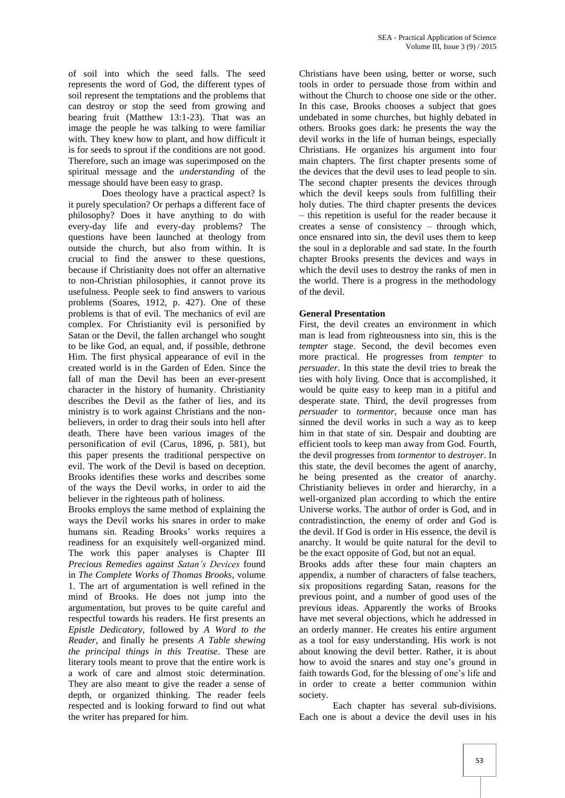of soil into which the seed falls. The seed represents the word of God, the different types of soil represent the temptations and the problems that can destroy or stop the seed from growing and bearing fruit (Matthew 13:1-23). That was an image the people he was talking to were familiar with. They knew how to plant, and how difficult it is for seeds to sprout if the conditions are not good. Therefore, such an image was superimposed on the spiritual message and the *understanding* of the message should have been easy to grasp.

Does theology have a practical aspect? Is it purely speculation? Or perhaps a different face of philosophy? Does it have anything to do with every-day life and every-day problems? The questions have been launched at theology from outside the church, but also from within. It is crucial to find the answer to these questions, because if Christianity does not offer an alternative to non-Christian philosophies, it cannot prove its usefulness. People seek to find answers to various problems (Soares, 1912, p. 427). One of these problems is that of evil. The mechanics of evil are complex. For Christianity evil is personified by Satan or the Devil, the fallen archangel who sought to be like God, an equal, and, if possible, dethrone Him. The first physical appearance of evil in the created world is in the Garden of Eden. Since the fall of man the Devil has been an ever-present character in the history of humanity. Christianity describes the Devil as the father of lies, and its ministry is to work against Christians and the nonbelievers, in order to drag their souls into hell after death. There have been various images of the personification of evil (Carus, 1896, p. 581), but this paper presents the traditional perspective on evil. The work of the Devil is based on deception. Brooks identifies these works and describes some of the ways the Devil works, in order to aid the believer in the righteous path of holiness.

Brooks employs the same method of explaining the ways the Devil works his snares in order to make humans sin. Reading Brooks' works requires a readiness for an exquisitely well-organized mind. The work this paper analyses is Chapter III *Precious Remedies against Satan's Devices* found in *The Complete Works of Thomas Brooks*, volume 1. The art of argumentation is well refined in the mind of Brooks. He does not jump into the argumentation, but proves to be quite careful and respectful towards his readers. He first presents an *Epistle Dedicatory*, followed by *A Word to the Reader*, and finally he presents *A Table shewing the principal things in this Treatise*. These are literary tools meant to prove that the entire work is a work of care and almost stoic determination. They are also meant to give the reader a sense of depth, or organized thinking. The reader feels respected and is looking forward to find out what the writer has prepared for him.

Christians have been using, better or worse, such tools in order to persuade those from within and without the Church to choose one side or the other. In this case, Brooks chooses a subject that goes undebated in some churches, but highly debated in others. Brooks goes dark: he presents the way the devil works in the life of human beings, especially Christians. He organizes his argument into four main chapters. The first chapter presents some of the devices that the devil uses to lead people to sin. The second chapter presents the devices through which the devil keeps souls from fulfilling their holy duties. The third chapter presents the devices – this repetition is useful for the reader because it creates a sense of consistency – through which, once ensnared into sin, the devil uses them to keep the soul in a deplorable and sad state. In the fourth chapter Brooks presents the devices and ways in which the devil uses to destroy the ranks of men in the world. There is a progress in the methodology of the devil.

#### **General Presentation**

First, the devil creates an environment in which man is lead from righteousness into sin, this is the *tempter* stage. Second, the devil becomes even more practical. He progresses from *tempter* to *persuader*. In this state the devil tries to break the ties with holy living. Once that is accomplished, it would be quite easy to keep man in a pitiful and desperate state. Third, the devil progresses from *persuader* to *tormentor*, because once man has sinned the devil works in such a way as to keep him in that state of sin. Despair and doubting are efficient tools to keep man away from God. Fourth, the devil progresses from *tormentor* to *destroyer*. In this state, the devil becomes the agent of anarchy, he being presented as the creator of anarchy. Christianity believes in order and hierarchy, in a well-organized plan according to which the entire Universe works. The author of order is God, and in contradistinction, the enemy of order and God is the devil. If God is order in His essence, the devil is anarchy. It would be quite natural for the devil to be the exact opposite of God, but not an equal.

Brooks adds after these four main chapters an appendix, a number of characters of false teachers, six propositions regarding Satan, reasons for the previous point, and a number of good uses of the previous ideas. Apparently the works of Brooks have met several objections, which he addressed in an orderly manner. He creates his entire argument as a tool for easy understanding. His work is not about knowing the devil better. Rather, it is about how to avoid the snares and stay one's ground in faith towards God, for the blessing of one's life and in order to create a better communion within society.

Each chapter has several sub-divisions. Each one is about a device the devil uses in his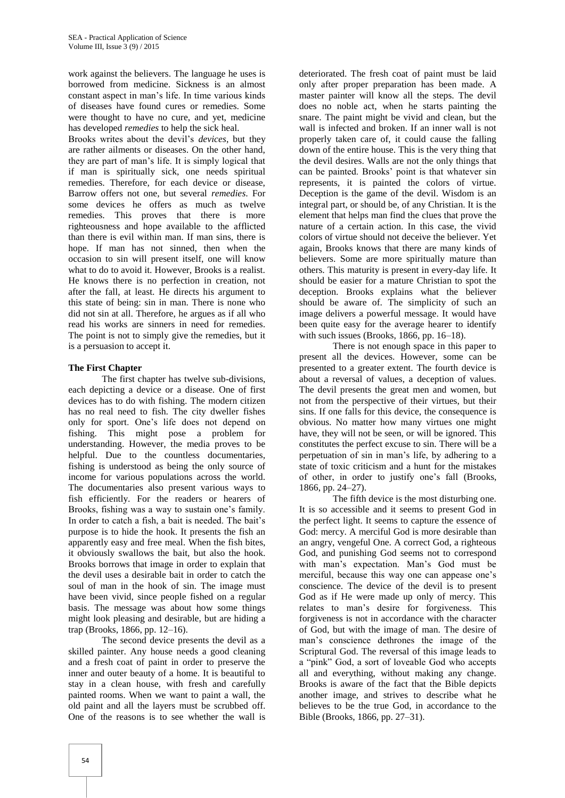work against the believers. The language he uses is borrowed from medicine. Sickness is an almost constant aspect in man's life. In time various kinds of diseases have found cures or remedies. Some were thought to have no cure, and yet, medicine has developed *remedies* to help the sick heal.

Brooks writes about the devil's *devices*, but they are rather ailments or diseases. On the other hand, they are part of man's life. It is simply logical that if man is spiritually sick, one needs spiritual remedies. Therefore, for each device or disease, Barrow offers not one, but several *remedies*. For some devices he offers as much as twelve remedies. This proves that there is more righteousness and hope available to the afflicted than there is evil within man. If man sins, there is hope. If man has not sinned, then when the occasion to sin will present itself, one will know what to do to avoid it. However, Brooks is a realist. He knows there is no perfection in creation, not after the fall, at least. He directs his argument to this state of being: sin in man. There is none who did not sin at all. Therefore, he argues as if all who read his works are sinners in need for remedies. The point is not to simply give the remedies, but it is a persuasion to accept it.

# **The First Chapter**

The first chapter has twelve sub-divisions, each depicting a device or a disease. One of first devices has to do with fishing. The modern citizen has no real need to fish. The city dweller fishes only for sport. One's life does not depend on fishing. This might pose a problem for understanding. However, the media proves to be helpful. Due to the countless documentaries, fishing is understood as being the only source of income for various populations across the world. The documentaries also present various ways to fish efficiently. For the readers or hearers of Brooks, fishing was a way to sustain one's family. In order to catch a fish, a bait is needed. The bait's purpose is to hide the hook. It presents the fish an apparently easy and free meal. When the fish bites, it obviously swallows the bait, but also the hook. Brooks borrows that image in order to explain that the devil uses a desirable bait in order to catch the soul of man in the hook of sin. The image must have been vivid, since people fished on a regular basis. The message was about how some things might look pleasing and desirable, but are hiding a trap (Brooks, 1866, pp. 12–16).

The second device presents the devil as a skilled painter. Any house needs a good cleaning and a fresh coat of paint in order to preserve the inner and outer beauty of a home. It is beautiful to stay in a clean house, with fresh and carefully painted rooms. When we want to paint a wall, the old paint and all the layers must be scrubbed off. One of the reasons is to see whether the wall is

deteriorated. The fresh coat of paint must be laid only after proper preparation has been made. A master painter will know all the steps. The devil does no noble act, when he starts painting the snare. The paint might be vivid and clean, but the wall is infected and broken. If an inner wall is not properly taken care of, it could cause the falling down of the entire house. This is the very thing that the devil desires. Walls are not the only things that can be painted. Brooks' point is that whatever sin represents, it is painted the colors of virtue. Deception is the game of the devil. Wisdom is an integral part, or should be, of any Christian. It is the element that helps man find the clues that prove the nature of a certain action. In this case, the vivid colors of virtue should not deceive the believer. Yet again, Brooks knows that there are many kinds of believers. Some are more spiritually mature than others. This maturity is present in every-day life. It should be easier for a mature Christian to spot the deception. Brooks explains what the believer should be aware of. The simplicity of such an image delivers a powerful message. It would have been quite easy for the average hearer to identify with such issues (Brooks, 1866, pp. 16–18).

There is not enough space in this paper to present all the devices. However, some can be presented to a greater extent. The fourth device is about a reversal of values, a deception of values. The devil presents the great men and women, but not from the perspective of their virtues, but their sins. If one falls for this device, the consequence is obvious. No matter how many virtues one might have, they will not be seen, or will be ignored. This constitutes the perfect excuse to sin. There will be a perpetuation of sin in man's life, by adhering to a state of toxic criticism and a hunt for the mistakes of other, in order to justify one's fall (Brooks, 1866, pp. 24–27).

The fifth device is the most disturbing one. It is so accessible and it seems to present God in the perfect light. It seems to capture the essence of God: mercy. A merciful God is more desirable than an angry, vengeful One. A correct God, a righteous God, and punishing God seems not to correspond with man's expectation. Man's God must be merciful, because this way one can appease one's conscience. The device of the devil is to present God as if He were made up only of mercy. This relates to man's desire for forgiveness. This forgiveness is not in accordance with the character of God, but with the image of man. The desire of man's conscience dethrones the image of the Scriptural God. The reversal of this image leads to a "pink" God, a sort of loveable God who accepts all and everything, without making any change. Brooks is aware of the fact that the Bible depicts another image, and strives to describe what he believes to be the true God, in accordance to the Bible (Brooks, 1866, pp. 27–31).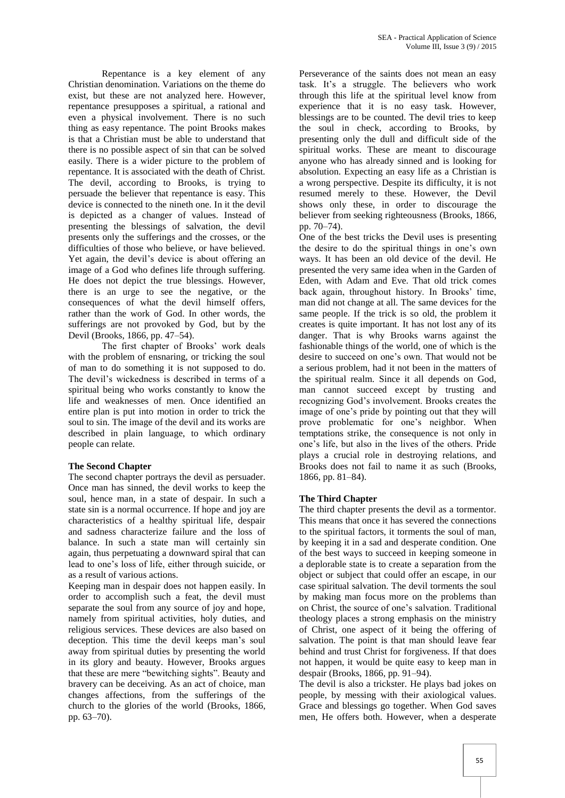Repentance is a key element of any Christian denomination. Variations on the theme do exist, but these are not analyzed here. However, repentance presupposes a spiritual, a rational and even a physical involvement. There is no such thing as easy repentance. The point Brooks makes is that a Christian must be able to understand that there is no possible aspect of sin that can be solved easily. There is a wider picture to the problem of repentance. It is associated with the death of Christ. The devil, according to Brooks, is trying to persuade the believer that repentance is easy. This device is connected to the nineth one. In it the devil is depicted as a changer of values. Instead of presenting the blessings of salvation, the devil presents only the sufferings and the crosses, or the difficulties of those who believe, or have believed. Yet again, the devil's device is about offering an image of a God who defines life through suffering. He does not depict the true blessings. However, there is an urge to see the negative, or the consequences of what the devil himself offers, rather than the work of God. In other words, the sufferings are not provoked by God, but by the Devil (Brooks, 1866, pp. 47–54).

The first chapter of Brooks' work deals with the problem of ensnaring, or tricking the soul of man to do something it is not supposed to do. The devil's wickedness is described in terms of a spiritual being who works constantly to know the life and weaknesses of men. Once identified an entire plan is put into motion in order to trick the soul to sin. The image of the devil and its works are described in plain language, to which ordinary people can relate.

#### **The Second Chapter**

The second chapter portrays the devil as persuader. Once man has sinned, the devil works to keep the soul, hence man, in a state of despair. In such a state sin is a normal occurrence. If hope and joy are characteristics of a healthy spiritual life, despair and sadness characterize failure and the loss of balance. In such a state man will certainly sin again, thus perpetuating a downward spiral that can lead to one's loss of life, either through suicide, or as a result of various actions.

Keeping man in despair does not happen easily. In order to accomplish such a feat, the devil must separate the soul from any source of joy and hope, namely from spiritual activities, holy duties, and religious services. These devices are also based on deception. This time the devil keeps man's soul away from spiritual duties by presenting the world in its glory and beauty. However, Brooks argues that these are mere "bewitching sights". Beauty and bravery can be deceiving. As an act of choice, man changes affections, from the sufferings of the church to the glories of the world (Brooks, 1866, pp. 63–70).

Perseverance of the saints does not mean an easy task. It's a struggle. The believers who work through this life at the spiritual level know from experience that it is no easy task. However, blessings are to be counted. The devil tries to keep the soul in check, according to Brooks, by presenting only the dull and difficult side of the spiritual works. These are meant to discourage anyone who has already sinned and is looking for absolution. Expecting an easy life as a Christian is a wrong perspective. Despite its difficulty, it is not resumed merely to these. However, the Devil shows only these, in order to discourage the believer from seeking righteousness (Brooks, 1866, pp. 70–74).

One of the best tricks the Devil uses is presenting the desire to do the spiritual things in one's own ways. It has been an old device of the devil. He presented the very same idea when in the Garden of Eden, with Adam and Eve. That old trick comes back again, throughout history. In Brooks' time, man did not change at all. The same devices for the same people. If the trick is so old, the problem it creates is quite important. It has not lost any of its danger. That is why Brooks warns against the fashionable things of the world, one of which is the desire to succeed on one's own. That would not be a serious problem, had it not been in the matters of the spiritual realm. Since it all depends on God, man cannot succeed except by trusting and recognizing God's involvement. Brooks creates the image of one's pride by pointing out that they will prove problematic for one's neighbor. When temptations strike, the consequence is not only in one's life, but also in the lives of the others. Pride plays a crucial role in destroying relations, and Brooks does not fail to name it as such (Brooks, 1866, pp. 81–84).

# **The Third Chapter**

The third chapter presents the devil as a tormentor. This means that once it has severed the connections to the spiritual factors, it torments the soul of man, by keeping it in a sad and desperate condition. One of the best ways to succeed in keeping someone in a deplorable state is to create a separation from the object or subject that could offer an escape, in our case spiritual salvation. The devil torments the soul by making man focus more on the problems than on Christ, the source of one's salvation. Traditional theology places a strong emphasis on the ministry of Christ, one aspect of it being the offering of salvation. The point is that man should leave fear behind and trust Christ for forgiveness. If that does not happen, it would be quite easy to keep man in despair (Brooks, 1866, pp. 91–94).

The devil is also a trickster. He plays bad jokes on people, by messing with their axiological values. Grace and blessings go together. When God saves men, He offers both. However, when a desperate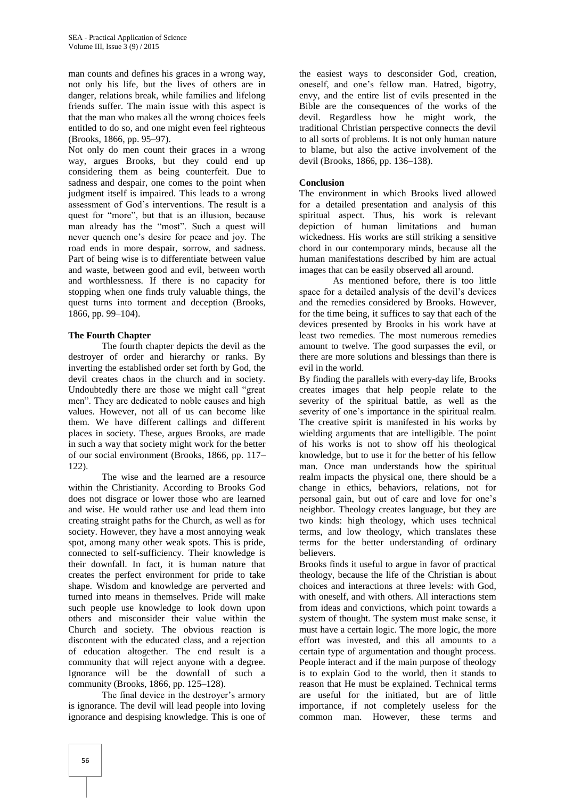man counts and defines his graces in a wrong way, not only his life, but the lives of others are in danger, relations break, while families and lifelong friends suffer. The main issue with this aspect is that the man who makes all the wrong choices feels entitled to do so, and one might even feel righteous (Brooks, 1866, pp. 95–97).

Not only do men count their graces in a wrong way, argues Brooks, but they could end up considering them as being counterfeit. Due to sadness and despair, one comes to the point when judgment itself is impaired. This leads to a wrong assessment of God's interventions. The result is a quest for "more", but that is an illusion, because man already has the "most". Such a quest will never quench one's desire for peace and joy. The road ends in more despair, sorrow, and sadness. Part of being wise is to differentiate between value and waste, between good and evil, between worth and worthlessness. If there is no capacity for stopping when one finds truly valuable things, the quest turns into torment and deception (Brooks, 1866, pp. 99–104).

#### **The Fourth Chapter**

The fourth chapter depicts the devil as the destroyer of order and hierarchy or ranks. By inverting the established order set forth by God, the devil creates chaos in the church and in society. Undoubtedly there are those we might call "great men". They are dedicated to noble causes and high values. However, not all of us can become like them. We have different callings and different places in society. These, argues Brooks, are made in such a way that society might work for the better of our social environment (Brooks, 1866, pp. 117– 122).

The wise and the learned are a resource within the Christianity. According to Brooks God does not disgrace or lower those who are learned and wise. He would rather use and lead them into creating straight paths for the Church, as well as for society. However, they have a most annoying weak spot, among many other weak spots. This is pride, connected to self-sufficiency. Their knowledge is their downfall. In fact, it is human nature that creates the perfect environment for pride to take shape. Wisdom and knowledge are perverted and turned into means in themselves. Pride will make such people use knowledge to look down upon others and misconsider their value within the Church and society. The obvious reaction is discontent with the educated class, and a rejection of education altogether. The end result is a community that will reject anyone with a degree. Ignorance will be the downfall of such a community (Brooks, 1866, pp. 125–128).

The final device in the destroyer's armory is ignorance. The devil will lead people into loving ignorance and despising knowledge. This is one of

the easiest ways to desconsider God, creation, oneself, and one's fellow man. Hatred, bigotry, envy, and the entire list of evils presented in the Bible are the consequences of the works of the devil. Regardless how he might work, the traditional Christian perspective connects the devil to all sorts of problems. It is not only human nature to blame, but also the active involvement of the devil (Brooks, 1866, pp. 136–138).

# **Conclusion**

The environment in which Brooks lived allowed for a detailed presentation and analysis of this spiritual aspect. Thus, his work is relevant depiction of human limitations and human wickedness. His works are still striking a sensitive chord in our contemporary minds, because all the human manifestations described by him are actual images that can be easily observed all around.

As mentioned before, there is too little space for a detailed analysis of the devil's devices and the remedies considered by Brooks. However, for the time being, it suffices to say that each of the devices presented by Brooks in his work have at least two remedies. The most numerous remedies amount to twelve. The good surpasses the evil, or there are more solutions and blessings than there is evil in the world.

By finding the parallels with every-day life, Brooks creates images that help people relate to the severity of the spiritual battle, as well as the severity of one's importance in the spiritual realm. The creative spirit is manifested in his works by wielding arguments that are intelligible. The point of his works is not to show off his theological knowledge, but to use it for the better of his fellow man. Once man understands how the spiritual realm impacts the physical one, there should be a change in ethics, behaviors, relations, not for personal gain, but out of care and love for one's neighbor. Theology creates language, but they are two kinds: high theology, which uses technical terms, and low theology, which translates these terms for the better understanding of ordinary believers.

Brooks finds it useful to argue in favor of practical theology, because the life of the Christian is about choices and interactions at three levels: with God, with oneself, and with others. All interactions stem from ideas and convictions, which point towards a system of thought. The system must make sense, it must have a certain logic. The more logic, the more effort was invested, and this all amounts to a certain type of argumentation and thought process. People interact and if the main purpose of theology is to explain God to the world, then it stands to reason that He must be explained. Technical terms are useful for the initiated, but are of little importance, if not completely useless for the common man. However, these terms and